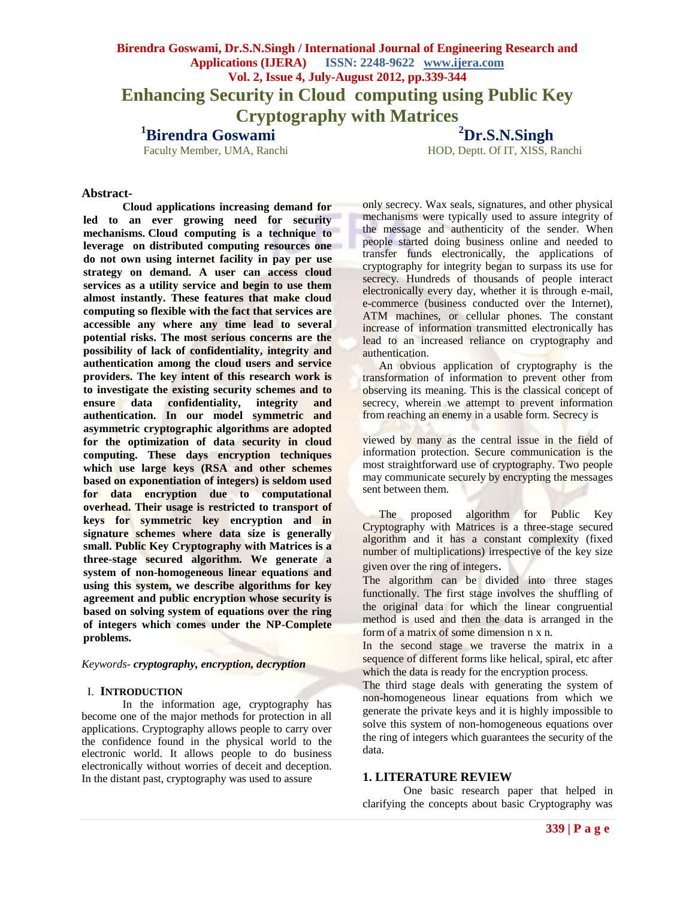# **Birendra Goswami, Dr.S.N.Singh / International Journal of Engineering Research and Applications (IJERA) ISSN: 2248-9622 www.ijera.com Vol. 2, Issue 4, July-August 2012, pp.339-344 Enhancing Security in Cloud computing using Public Key Cryptography with Matrices**

**<sup>1</sup>Birendra Goswami** 

**<sup>2</sup>Dr.S.N.Singh**

HOD, Deptt. Of IT, XISS, Ranchi

## **Abstract-**

**Cloud applications increasing demand for led to an ever growing need for security mechanisms. Cloud computing is a technique to leverage on distributed computing resources one do not own using internet facility in pay per use strategy on demand. A user can access cloud services as a utility service and begin to use them almost instantly. These features that make cloud computing so flexible with the fact that services are accessible any where any time lead to several potential risks. The most serious concerns are the possibility of lack of confidentiality, integrity and authentication among the cloud users and service providers. The key intent of this research work is to investigate the existing security schemes and to ensure data confidentiality, integrity and authentication. In our model symmetric and asymmetric cryptographic algorithms are adopted for the optimization of data security in cloud computing. These days encryption techniques which use large keys (RSA and other schemes based on exponentiation of integers) is seldom used for data encryption due to computational overhead. Their usage is restricted to transport of keys for symmetric key encryption and in signature schemes where data size is generally small. Public Key Cryptography with Matrices is a three-stage secured algorithm. We generate a system of non-homogeneous linear equations and using this system, we describe algorithms for key agreement and public encryption whose security is based on solving system of equations over the ring of integers which comes under the NP-Complete problems.**

### *Keywords- cryptography, encryption, decryption*

#### I. **INTRODUCTION**

In the information age, cryptography has become one of the major methods for protection in all applications. Cryptography allows people to carry over the confidence found in the physical world to the electronic world. It allows people to do business electronically without worries of deceit and deception. In the distant past, cryptography was used to assure

only secrecy. Wax seals, signatures, and other physical mechanisms were typically used to assure integrity of the message and authenticity of the sender. When people started doing business online and needed to transfer funds electronically, the applications of cryptography for integrity began to surpass its use for secrecy. Hundreds of thousands of people interact electronically every day, whether it is through e-mail, e-commerce (business conducted over the Internet), ATM machines, or cellular phones. The constant increase of information transmitted electronically has lead to an increased reliance on cryptography and authentication.

An obvious application of cryptography is the transformation of information to prevent other from observing its meaning. This is the classical concept of secrecy, wherein we attempt to prevent information from reaching an enemy in a usable form. Secrecy is

viewed by many as the central issue in the field of information protection. Secure communication is the most straightforward use of cryptography. Two people may communicate securely by encrypting the messages sent between them.

The proposed algorithm for Public Key Cryptography with Matrices is a three-stage secured algorithm and it has a constant complexity (fixed number of multiplications) irrespective of the key size given over the ring of integers.

The algorithm can be divided into three stages functionally. The first stage involves the shuffling of the original data for which the linear congruential method is used and then the data is arranged in the form of a matrix of some dimension n x n.

In the second stage we traverse the matrix in a sequence of different forms like helical, spiral, etc after which the data is ready for the encryption process.

The third stage deals with generating the system of non-homogeneous linear equations from which we generate the private keys and it is highly impossible to solve this system of non-homogeneous equations over the ring of integers which guarantees the security of the data.

### **1. LITERATURE REVIEW**

One basic research paper that helped in clarifying the concepts about basic Cryptography was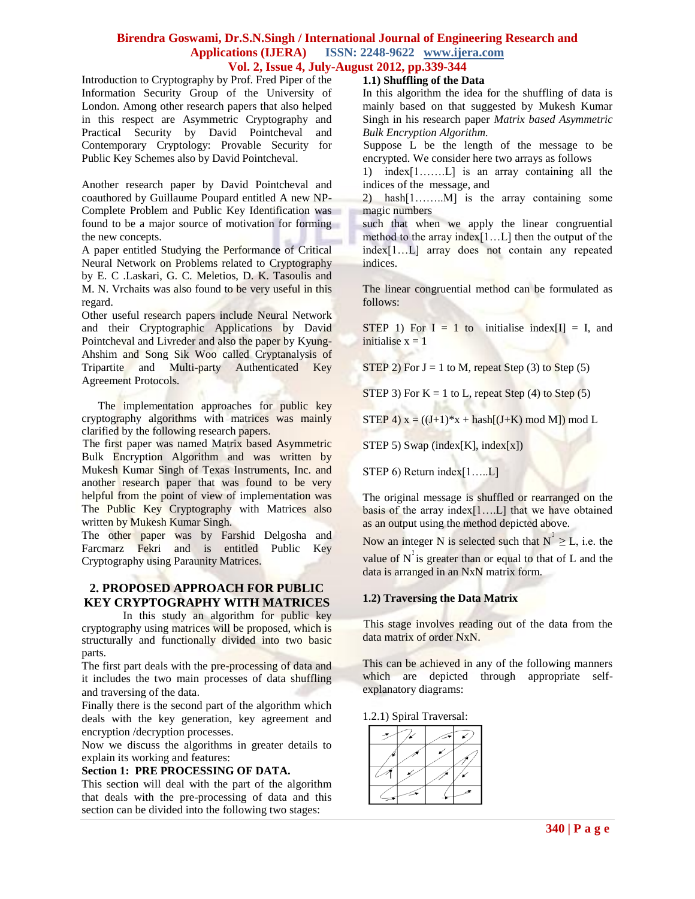# **Birendra Goswami, Dr.S.N.Singh / International Journal of Engineering Research and Applications (IJERA) ISSN: 2248-9622 www.ijera.com**

# **Vol. 2, Issue 4, July-August 2012, pp.339-344**

Introduction to Cryptography by Prof. Fred Piper of the Information Security Group of the University of London. Among other research papers that also helped in this respect are Asymmetric Cryptography and Practical Security by David Pointcheval and Contemporary Cryptology: Provable Security for Public Key Schemes also by David Pointcheval.

Another research paper by David Pointcheval and coauthored by Guillaume Poupard entitled A new NP-Complete Problem and Public Key Identification was found to be a major source of motivation for forming the new concepts.

A paper entitled Studying the Performance of Critical Neural Network on Problems related to Cryptography by E. C .Laskari, G. C. Meletios, D. K. Tasoulis and M. N. Vrchaits was also found to be very useful in this regard.

Other useful research papers include Neural Network and their Cryptographic Applications by David Pointcheval and Livreder and also the paper by Kyung-Ahshim and Song Sik Woo called Cryptanalysis of Tripartite and Multi-party Authenticated Key Agreement Protocols.

The implementation approaches for public key cryptography algorithms with matrices was mainly clarified by the following research papers.

The first paper was named Matrix based Asymmetric Bulk Encryption Algorithm and was written by Mukesh Kumar Singh of Texas Instruments, Inc. and another research paper that was found to be very helpful from the point of view of implementation was The Public Key Cryptography with Matrices also written by Mukesh Kumar Singh.

The other paper was by Farshid Delgosha and Farcmarz Fekri and is entitled Public Key Cryptography using Paraunity Matrices.

# **2. PROPOSED APPROACH FOR PUBLIC KEY CRYPTOGRAPHY WITH MATRICES**

In this study an algorithm for public key cryptography using matrices will be proposed, which is structurally and functionally divided into two basic parts.

The first part deals with the pre-processing of data and it includes the two main processes of data shuffling and traversing of the data.

Finally there is the second part of the algorithm which deals with the key generation, key agreement and encryption /decryption processes.

Now we discuss the algorithms in greater details to explain its working and features:

### **Section 1: PRE PROCESSING OF DATA.**

This section will deal with the part of the algorithm that deals with the pre-processing of data and this section can be divided into the following two stages:

### **1.1) Shuffling of the Data**

In this algorithm the idea for the shuffling of data is mainly based on that suggested by Mukesh Kumar Singh in his research paper *Matrix based Asymmetric Bulk Encryption Algorithm.*

Suppose L be the length of the message to be encrypted. We consider here two arrays as follows

1) index[1…….L] is an array containing all the indices of the message, and

2) hash[1……..M] is the array containing some magic numbers

such that when we apply the linear congruential method to the array index[1…L] then the output of the index[1…L] array does not contain any repeated indices.

The linear congruential method can be formulated as follows:

STEP 1) For  $I = 1$  to initialise index  $[I] = I$ , and initialise  $x = 1$ 

STEP 2) For  $J = 1$  to M, repeat Step (3) to Step (5)

STEP 3) For  $K = 1$  to L, repeat Step (4) to Step (5)

STEP 4)  $x = ((J+1)*x + hash[(J+K) \mod M]) \mod L$ 

STEP 5) Swap (index[K], index[x])

STEP 6) Return index[1.....L]

The original message is shuffled or rearranged on the basis of the array index[1….L] that we have obtained as an output using the method depicted above.

Now an integer N is selected such that  $N^2 \geq L$ , i.e. the

value of  $N^2$  is greater than or equal to that of L and the data is arranged in an NxN matrix form.

## **1.2) Traversing the Data Matrix**

This stage involves reading out of the data from the data matrix of order NxN.

This can be achieved in any of the following manners which are depicted through appropriate selfexplanatory diagrams:

1.2.1) Spiral Traversal: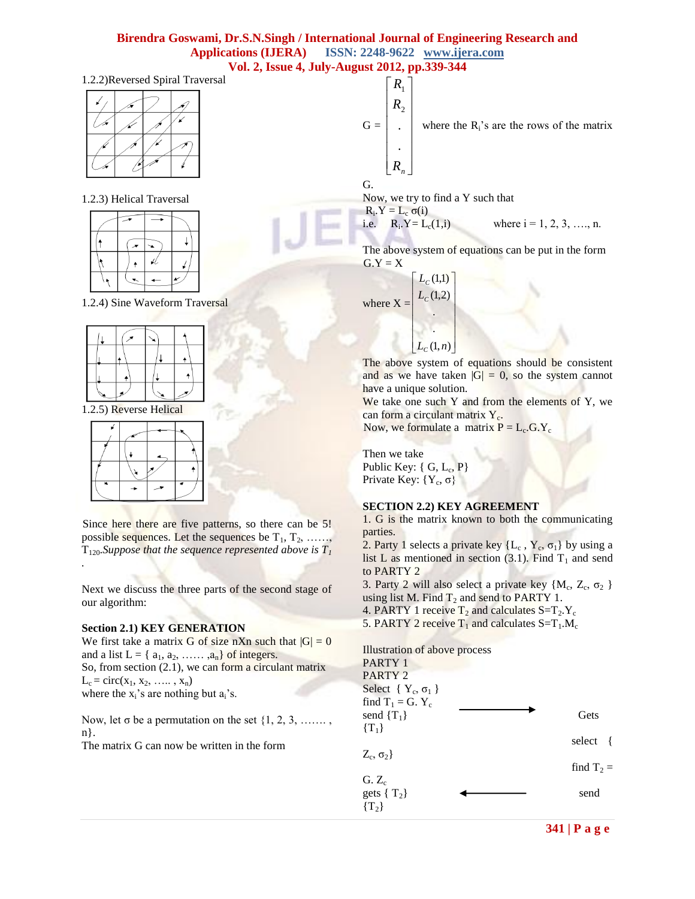# **Birendra Goswami, Dr.S.N.Singh / International Journal of Engineering Research and Applications (IJERA) ISSN: 2248-9622 www.ijera.com Vol. 2, Issue 4, July-August 2012, pp.339-344**

## 1.2.2)Reversed Spiral Traversal

### 1.2.3) Helical Traversal



1.2.4) Sine Waveform Traversal



1.2.5) Reverse Helical

Since here there are five patterns, so there can be 5! possible sequences. Let the sequences be  $T_1, T_2, \ldots, T_k$  $T_{120}$ *Suppose that the sequence represented above is*  $T_I$ *.* 

Next we discuss the three parts of the second stage of our algorithm:

### **Section 2.1) KEY GENERATION**

We first take a matrix G of size nXn such that  $|G| = 0$ and a list  $L = \{a_1, a_2, \ldots, a_n\}$  of integers. So, from section (2.1), we can form a circulant matrix  $L_c = \text{circ}(x_1, x_2, \ldots, x_n)$ where the  $x_i$ 's are nothing but  $a_i$ 's.

Now, let  $\sigma$  be a permutation on the set  $\{1, 2, 3, \ldots \}$ , n}.

The matrix G can now be written in the form

 $G =$  $\overline{\phantom{a}}$  $\overline{\phantom{a}}$  $\overline{\phantom{a}}$  $\overline{\phantom{a}}$  $\overline{\phantom{a}}$  $\overline{\phantom{a}}$  $\rfloor$  $\overline{\phantom{a}}$  $R_{n}$  $\overline{ }$  $\overline{ }$  $\overline{ }$  $\overline{\phantom{a}}$  $R_{2}$  $R_1$ . . where the  $R_i$ 's are the rows of the matrix

Now, we try to find a Y such that

 $R_i.Y = L_c \sigma(i)$ i.e.  $R_i$ .  $Y = L_c(1,i)$ 

G.

where  $i = 1, 2, 3, \ldots, n$ .

The above system of equations can be put in the form  $G.Y = X$ 

where  $X =$  $\overline{\phantom{a}}$ 1  $\overline{\phantom{a}}$  $\overline{\phantom{a}}$ L L L  $L_c(1,1)$ .  $L_c(1,2)$ 

L

 $\lfloor L_c(1,n) \rfloor$ h .

The above system of equations should be consistent and as we have taken  $|G| = 0$ , so the system cannot have a unique solution.

We take one such Y and from the elements of Y, we can form a circulant matrix Y<sub>c</sub>.

Now, we formulate a matrix  $P = L_c$ .G.Y<sub>c</sub>

 $\overline{\phantom{a}}$  $\overline{\phantom{a}}$ 

Then we take Public Key:  $\{ G, L_c, P \}$ Private Key:  ${Y_c, \sigma}$ 

### **SECTION 2.2) KEY AGREEMENT**

1. G is the matrix known to both the communicating parties.

2. Party 1 selects a private key  $\{L_c, Y_c, \sigma_1\}$  by using a list L as mentioned in section  $(3.1)$ . Find T<sub>1</sub> and send to PARTY 2

3. Party 2 will also select a private key  $\{M_c, Z_c, \sigma_2\}$ using list M. Find  $T_2$  and send to PARTY 1. 4. PARTY 1 receive  $T_2$  and calculates  $S=T_2.Y_c$ 

5. PARTY 2 receive  $T_1$  and calculates  $S=T_1.M_c$ 

Illustration of above process

| PARTY 1                       |              |
|-------------------------------|--------------|
| PARTY 2                       |              |
| Select { $Y_c$ , $\sigma_1$ } |              |
| find $T_1 = G$ . $Y_c$        |              |
| send $\{T_1\}$                | Gets         |
| $\{T_1\}$                     |              |
|                               | select       |
| $Z_c, \sigma_2\}$             |              |
|                               | find $T_2 =$ |
| $G. Z_c$                      |              |
| gets $\{T_2\}$                | send         |
| $\{T_2\}$                     |              |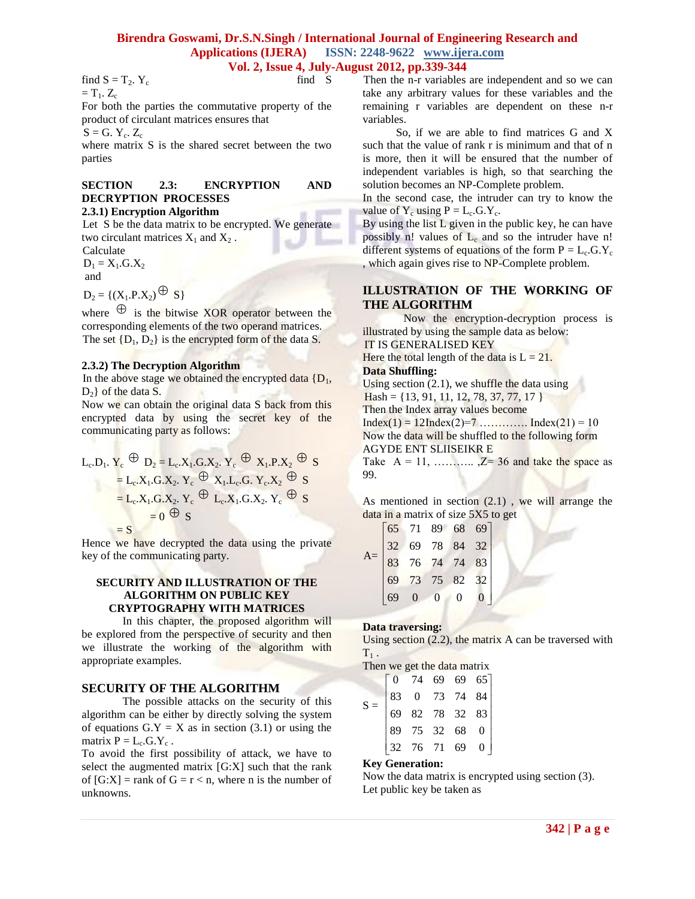# **Birendra Goswami, Dr.S.N.Singh / International Journal of Engineering Research and Applications (IJERA) ISSN: 2248-9622 www.ijera.com**

# **Vol. 2, Issue 4, July-August 2012, pp.339-344**

find S

find  $S = T_2$ .  $Y_c$  $=T_1$ .  $Z_c$ 

For both the parties the commutative property of the product of circulant matrices ensures that

 $S = G. Y_c. Z_c$ 

where matrix S is the shared secret between the two parties

# **SECTION 2.3: ENCRYPTION AND DECRYPTION PROCESSES**

# **2.3.1) Encryption Algorithm**

Let S be the data matrix to be encrypted. We generate two circulant matrices  $X_1$  and  $X_2$ .

Calculate

 $D_1 = X_1.G.X_2$ and

 $D_2 = \{ (X_1.P.X_2) \bigoplus S \}$ 

where  $\Theta$  is the bitwise XOR operator between the corresponding elements of the two operand matrices. The set  $\{D_1, D_2\}$  is the encrypted form of the data S.

## **2.3.2) The Decryption Algorithm**

In the above stage we obtained the encrypted data  ${D_1,$  $D_2$ } of the data S.

Now we can obtain the original data S back from this encrypted data by using the secret key of the communicating party as follows:

$$
L_c.D_1. Y_c \stackrel{\bigoplus}{=} D_2 = L_c.X_1.G.X_2. Y_c \stackrel{\bigoplus}{=} X_1.P.X_2 \stackrel{\bigoplus}{=} S
$$
  
=  $L_c.X_1.G.X_2. Y_c \stackrel{\bigoplus}{=} X_1.L_c.G.Y_c.X_2 \stackrel{\bigoplus}{=} S$   
=  $L_c.X_1.G.X_2. Y_c \stackrel{\bigoplus}{=} L_c.X_1.G.X_2. Y_c \stackrel{\bigoplus}{=} S$   
=  $S$ 

Hence we have decrypted the data using the private key of the communicating party.

## **SECURITY AND ILLUSTRATION OF THE ALGORITHM ON PUBLIC KEY CRYPTOGRAPHY WITH MATRICES**

In this chapter, the proposed algorithm will be explored from the perspective of security and then we illustrate the working of the algorithm with appropriate examples.

# **SECURITY OF THE ALGORITHM**

The possible attacks on the security of this algorithm can be either by directly solving the system of equations  $G.Y = X$  as in section (3.1) or using the matrix  $P = L_c$ . G. Y<sub>c</sub>.

To avoid the first possibility of attack, we have to select the augmented matrix [G:X] such that the rank of  $[G:X]$  = rank of  $G = r < n$ , where n is the number of unknowns.

Then the n-r variables are independent and so we can take any arbitrary values for these variables and the remaining r variables are dependent on these n-r variables.

So, if we are able to find matrices G and X such that the value of rank r is minimum and that of n is more, then it will be ensured that the number of independent variables is high, so that searching the solution becomes an NP-Complete problem.

In the second case, the intruder can try to know the value of  $Y_c$  using  $P = L_c$ . G.  $Y_c$ .

By using the list L given in the public key, he can have possibly n! values of  $L_c$  and so the intruder have n! different systems of equations of the form  $P = L_c$ .G.Y<sub>c</sub> , which again gives rise to NP-Complete problem.

# **ILLUSTRATION OF THE WORKING OF THE ALGORITHM**

Now the encryption-decryption process is illustrated by using the sample data as below:

IT IS GENERALISED KEY Here the total length of the data is  $L = 21$ .

# **Data Shuffling:**

Using section  $(2.1)$ , we shuffle the data using

 $Hash = \{13, 91, 11, 12, 78, 37, 77, 17\}$ 

Then the Index array values become

 $Index(1) = 12Index(2)=7$  ............... Index(21) = 10 Now the data will be shuffled to the following form AGYDE ENT SLIISEIKR E

Take  $A = 11, \dots, Z = 36$  and take the space as 99.

As mentioned in section  $(2.1)$ , we will arrange the data in a matrix of size 5X5 to get

| 32 | 65 71                            |                | 68<br>84 | 69<br>32 |  |
|----|----------------------------------|----------------|----------|----------|--|
| 83 | 71 89<br>69 78<br>76 74<br>73 75 |                | 74       | 83       |  |
| 69 |                                  |                | 82       | 32       |  |
|    |                                  | $\overline{0}$ |          |          |  |

# **Data traversing:**

 $\overline{A}$ 

Using section (2.2), the matrix A can be traversed with  $T_1$ .

Then we get the data matrix

|  | $\begin{bmatrix} 0 & 74 & 69 & 69 & 65 \\ 83 & 0 & 73 & 74 & 84 \\ 69 & 82 & 78 & 32 & 83 \\ 89 & 75 & 32 & 68 & 0 \\ 32 & 76 & 71 & 69 & 0 \end{bmatrix}$ |  |  |
|--|------------------------------------------------------------------------------------------------------------------------------------------------------------|--|--|

## **Key Generation:**

Now the data matrix is encrypted using section (3). Let public key be taken as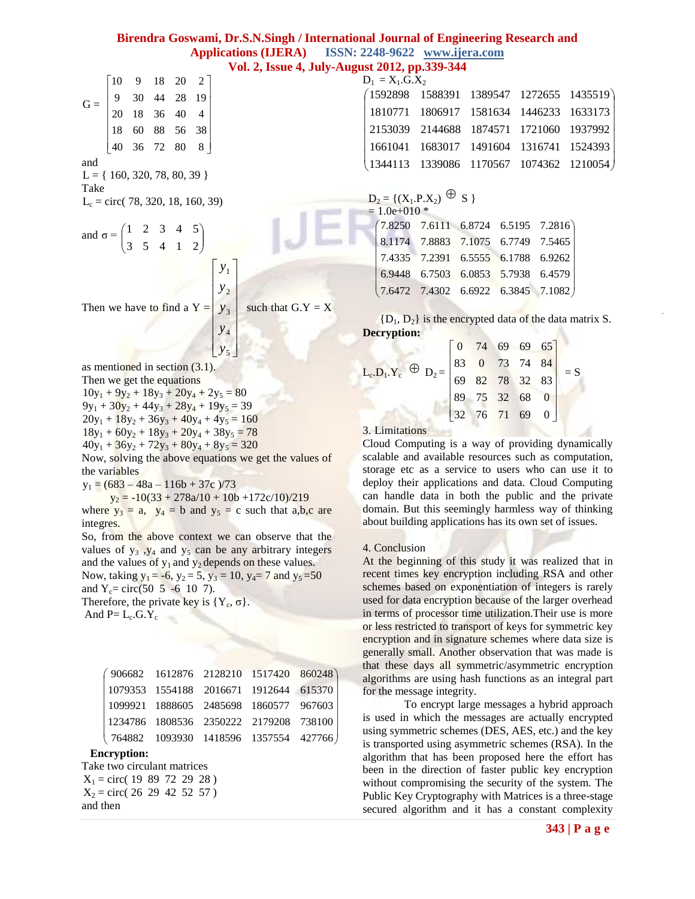# **Birendra Goswami, Dr.S.N.Singh / International Journal of Engineering Research and Applications (IJERA) ISSN: 2248-9622 www.ijera.com Vol. 2, Issue 4, July-August 2012, pp.339-344**

| $\mathbf{G} = \begin{bmatrix} 10 & 9 & 18 & 20 & 2 \\ 9 & 30 & 44 & 28 & 19 \\ 20 & 18 & 36 & 40 & 4 \\ 18 & 60 & 88 & 56 & 38 \\ 40 & 36 & 72 & 80 & 8 \end{bmatrix}$ |  |  |  |                                                                                                |
|------------------------------------------------------------------------------------------------------------------------------------------------------------------------|--|--|--|------------------------------------------------------------------------------------------------|
|                                                                                                                                                                        |  |  |  |                                                                                                |
| and<br>$L = \{ 160, 320, 78, 80, 39 \}$<br>Take<br>$L_c =$ circ( 78, 320, 18, 160, 39)                                                                                 |  |  |  |                                                                                                |
| and $\sigma = \begin{pmatrix} 1 & 2 & 3 & 4 & 5 \\ 3 & 5 & 4 & 1 & 2 \end{pmatrix}$                                                                                    |  |  |  |                                                                                                |
|                                                                                                                                                                        |  |  |  |                                                                                                |
|                                                                                                                                                                        |  |  |  | Then we have to find a Y = $\begin{bmatrix} y_1 \\ y_2 \\ y_3 \end{bmatrix}$ such that G.Y = X |
|                                                                                                                                                                        |  |  |  |                                                                                                |



 $y_5$ 

as mentioned in section (3.1).

Then we get the equations

 $10y_1 + 9y_2 + 18y_3 + 20y_4 + 2y_5 = 80$ 

 $9y_1 + 30y_2 + 44y_3 + 28y_4 + 19y_5 = 39$ 

 $20y_1 + 18y_2 + 36y_3 + 40y_4 + 4y_5 = 160$ 

 $18y_1 + 60y_2 + 18y_3 + 20y_4 + 38y_5 = 78$ 

 $40y_1 + 36y_2 + 72y_3 + 80y_4 + 8y_5 = 320$ 

Now, solving the above equations we get the values of the variables

 $y_1 = (683 - 48a - 116b + 37c)/73$ 

 $y_2 = -10(33 + 278a/10 + 10b + 172c/10)/219$ where  $y_3 = a$ ,  $y_4 = b$  and  $y_5 = c$  such that a,b,c are integres.

So, from the above context we can observe that the values of  $y_3$ ,  $y_4$  and  $y_5$  can be any arbitrary integers and the values of  $y_1$  and  $y_2$  depends on these values. Now, taking  $y_1 = -6$ ,  $y_2 = 5$ ,  $y_3 = 10$ ,  $y_4 = 7$  and  $y_5 = 50$ and  $Y_c = \text{circ}(50 \ 5 \ -6 \ 10 \ 7)$ . Therefore, the private key is  ${Y_c, \sigma}$ .

And  $P = L_c \cdot G. Y_c$ 

|  | $(906682 \quad 1612876 \quad 2128210 \quad 1517420 \quad 860248)$                     |  |  |
|--|---------------------------------------------------------------------------------------|--|--|
|  |                                                                                       |  |  |
|  | $\begin{array}{ l} \hline 1099921 & 1888605 & 2485698 & 1860577 & 967603 \end{array}$ |  |  |
|  | 1234786 1808536 2350222 2179208 738100                                                |  |  |
|  | $\begin{pmatrix} 764882 & 1093930 & 1418596 & 1357554 & 427766 \end{pmatrix}$         |  |  |

### **Encryption:**

Take two circulant matrices  $X_1 = circ( 19 89 72 29 28 )$  $X_2 = circ(26 29 42 52 57)$ and then

| $D_1 = X_1.G.X_2$<br>$(1592898 \t 1588391 \t 1389547 \t 1272655 \t 1435519)$ |  |  |  |  |  |  |  |  |
|------------------------------------------------------------------------------|--|--|--|--|--|--|--|--|
|                                                                              |  |  |  |  |  |  |  |  |
| 1810771 1806917 1581634 1446233 1633173                                      |  |  |  |  |  |  |  |  |
| 2153039 2144688 1874571 1721060 1937992                                      |  |  |  |  |  |  |  |  |
|                                                                              |  |  |  |  |  |  |  |  |
| $(1344113 \t1339086 \t1170567 \t1074362 \t1210054)$                          |  |  |  |  |  |  |  |  |
|                                                                              |  |  |  |  |  |  |  |  |

$$
D_2 = \{ (X_1.P.X_2) \oplus S \}
$$

| $= 1.0e + 010$ * |  |                                                                                                                                                      |
|------------------|--|------------------------------------------------------------------------------------------------------------------------------------------------------|
|                  |  | $(7.8250 \t 7.6111 \t 6.8724 \t 6.5195 \t 7.2816)$                                                                                                   |
|                  |  | 8.1174 7.8883 7.1075 6.7749 7.5465<br>7.4335 7.2391 6.5555 6.1788 6.9262<br>6.9448 6.7503 6.0853 5.7938 6.4579<br>7.6472 7.4302 6.6922 6.3845 7.1082 |
|                  |  |                                                                                                                                                      |
|                  |  |                                                                                                                                                      |
|                  |  |                                                                                                                                                      |

 ${D_1, D_2}$  is the encrypted data of the data matrix S. **Decryption:**

| $L_e.D_1.Y_c$ $\oplus$ $D_2 = \begin{bmatrix} 0 & 74 & 69 & 69 & 65 \\ 83 & 0 & 73 & 74 & 84 \\ 69 & 82 & 78 & 32 & 83 \\ 89 & 75 & 32 & 68 & 0 \\ 32 & 76 & 71 & 69 & 0 \end{bmatrix}$ = S |  |  |  |
|---------------------------------------------------------------------------------------------------------------------------------------------------------------------------------------------|--|--|--|
|                                                                                                                                                                                             |  |  |  |

3. Limitations

Cloud Computing is a way of providing dynamically scalable and available resources such as computation, storage etc as a service to users who can use it to deploy their applications and data. Cloud Computing can handle data in both the public and the private domain. But this seemingly harmless way of thinking about building applications has its own set of issues.

### 4. Conclusion

At the beginning of this study it was realized that in recent times key encryption including RSA and other schemes based on exponentiation of integers is rarely used for data encryption because of the larger overhead in terms of processor time utilization.Their use is more or less restricted to transport of keys for symmetric key encryption and in signature schemes where data size is generally small. Another observation that was made is that these days all symmetric/asymmetric encryption algorithms are using hash functions as an integral part for the message integrity.

 To encrypt large messages a hybrid approach is used in which the messages are actually encrypted using symmetric schemes (DES, AES, etc.) and the key is transported using asymmetric schemes (RSA). In the algorithm that has been proposed here the effort has been in the direction of faster public key encryption without compromising the security of the system. The Public Key Cryptography with Matrices is a three-stage secured algorithm and it has a constant complexity